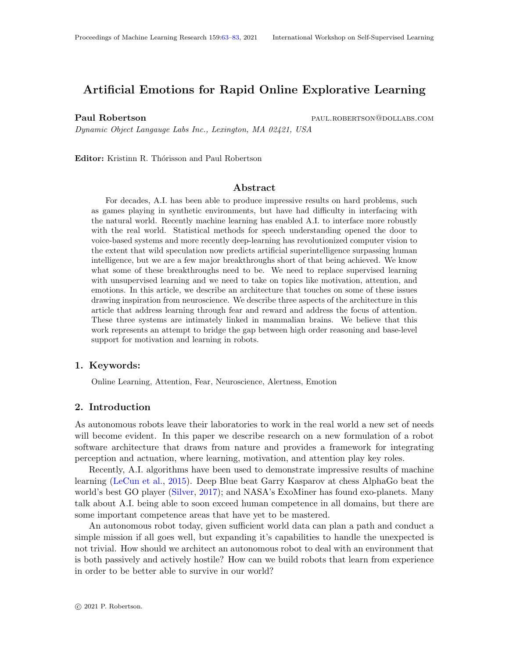# <span id="page-0-0"></span>Artificial Emotions for Rapid Online Explorative Learning

Dynamic Object Langauge Labs Inc., Lexington, MA 02421, USA

Editor: Kristinn R. Thórisson and Paul Robertson

## Abstract

For decades, A.I. has been able to produce impressive results on hard problems, such as games playing in synthetic environments, but have had difficulty in interfacing with the natural world. Recently machine learning has enabled A.I. to interface more robustly with the real world. Statistical methods for speech understanding opened the door to voice-based systems and more recently deep-learning has revolutionized computer vision to the extent that wild speculation now predicts artificial superintelligence surpassing human intelligence, but we are a few major breakthroughs short of that being achieved. We know what some of these breakthroughs need to be. We need to replace supervised learning with unsupervised learning and we need to take on topics like motivation, attention, and emotions. In this article, we describe an architecture that touches on some of these issues drawing inspiration from neuroscience. We describe three aspects of the architecture in this article that address learning through fear and reward and address the focus of attention. These three systems are intimately linked in mammalian brains. We believe that this work represents an attempt to bridge the gap between high order reasoning and base-level support for motivation and learning in robots.

# 1. Keywords:

Online Learning, Attention, Fear, Neuroscience, Alertness, Emotion

# 2. Introduction

As autonomous robots leave their laboratories to work in the real world a new set of needs will become evident. In this paper we describe research on a new formulation of a robot software architecture that draws from nature and provides a framework for integrating perception and actuation, where learning, motivation, and attention play key roles.

Recently, A.I. algorithms have been used to demonstrate impressive results of machine learning [\(LeCun et al.,](#page-19-0) [2015\)](#page-19-0). Deep Blue beat Garry Kasparov at chess AlphaGo beat the world's best GO player [\(Silver,](#page-19-1) [2017\)](#page-19-1); and NASA's ExoMiner has found exo-planets. Many talk about A.I. being able to soon exceed human competence in all domains, but there are some important competence areas that have yet to be mastered.

An autonomous robot today, given sufficient world data can plan a path and conduct a simple mission if all goes well, but expanding it's capabilities to handle the unexpected is not trivial. How should we architect an autonomous robot to deal with an environment that is both passively and actively hostile? How can we build robots that learn from experience in order to be better able to survive in our world?

Paul Robertson **paul Robertson** paul.robertson@dollabs.com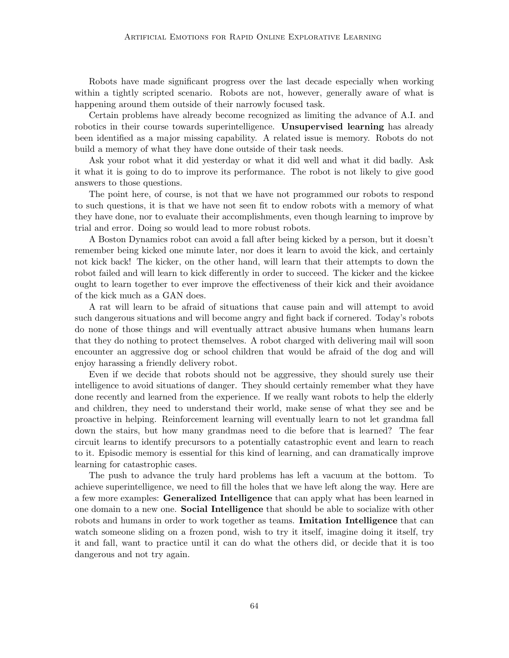Robots have made significant progress over the last decade especially when working within a tightly scripted scenario. Robots are not, however, generally aware of what is happening around them outside of their narrowly focused task.

Certain problems have already become recognized as limiting the advance of A.I. and robotics in their course towards superintelligence. **Unsupervised learning** has already been identified as a major missing capability. A related issue is memory. Robots do not build a memory of what they have done outside of their task needs.

Ask your robot what it did yesterday or what it did well and what it did badly. Ask it what it is going to do to improve its performance. The robot is not likely to give good answers to those questions.

The point here, of course, is not that we have not programmed our robots to respond to such questions, it is that we have not seen fit to endow robots with a memory of what they have done, nor to evaluate their accomplishments, even though learning to improve by trial and error. Doing so would lead to more robust robots.

A Boston Dynamics robot can avoid a fall after being kicked by a person, but it doesn't remember being kicked one minute later, nor does it learn to avoid the kick, and certainly not kick back! The kicker, on the other hand, will learn that their attempts to down the robot failed and will learn to kick differently in order to succeed. The kicker and the kickee ought to learn together to ever improve the effectiveness of their kick and their avoidance of the kick much as a GAN does.

A rat will learn to be afraid of situations that cause pain and will attempt to avoid such dangerous situations and will become angry and fight back if cornered. Today's robots do none of those things and will eventually attract abusive humans when humans learn that they do nothing to protect themselves. A robot charged with delivering mail will soon encounter an aggressive dog or school children that would be afraid of the dog and will enjoy harassing a friendly delivery robot.

Even if we decide that robots should not be aggressive, they should surely use their intelligence to avoid situations of danger. They should certainly remember what they have done recently and learned from the experience. If we really want robots to help the elderly and children, they need to understand their world, make sense of what they see and be proactive in helping. Reinforcement learning will eventually learn to not let grandma fall down the stairs, but how many grandmas need to die before that is learned? The fear circuit learns to identify precursors to a potentially catastrophic event and learn to reach to it. Episodic memory is essential for this kind of learning, and can dramatically improve learning for catastrophic cases.

The push to advance the truly hard problems has left a vacuum at the bottom. To achieve superintelligence, we need to fill the holes that we have left along the way. Here are a few more examples: Generalized Intelligence that can apply what has been learned in one domain to a new one. Social Intelligence that should be able to socialize with other robots and humans in order to work together as teams. **Imitation Intelligence** that can watch someone sliding on a frozen pond, wish to try it itself, imagine doing it itself, try it and fall, want to practice until it can do what the others did, or decide that it is too dangerous and not try again.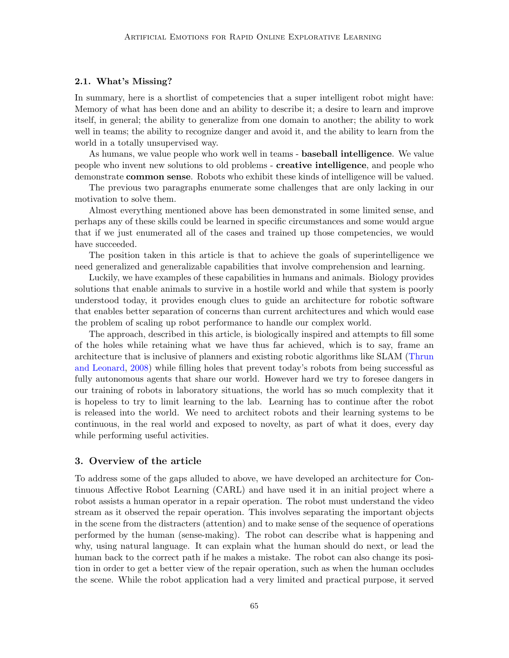#### 2.1. What's Missing?

In summary, here is a shortlist of competencies that a super intelligent robot might have: Memory of what has been done and an ability to describe it; a desire to learn and improve itself, in general; the ability to generalize from one domain to another; the ability to work well in teams; the ability to recognize danger and avoid it, and the ability to learn from the world in a totally unsupervised way.

As humans, we value people who work well in teams - baseball intelligence. We value people who invent new solutions to old problems - creative intelligence, and people who demonstrate **common sense**. Robots who exhibit these kinds of intelligence will be valued.

The previous two paragraphs enumerate some challenges that are only lacking in our motivation to solve them.

Almost everything mentioned above has been demonstrated in some limited sense, and perhaps any of these skills could be learned in specific circumstances and some would argue that if we just enumerated all of the cases and trained up those competencies, we would have succeeded.

The position taken in this article is that to achieve the goals of superintelligence we need generalized and generalizable capabilities that involve comprehension and learning.

Luckily, we have examples of these capabilities in humans and animals. Biology provides solutions that enable animals to survive in a hostile world and while that system is poorly understood today, it provides enough clues to guide an architecture for robotic software that enables better separation of concerns than current architectures and which would ease the problem of scaling up robot performance to handle our complex world.

The approach, described in this article, is biologically inspired and attempts to fill some of the holes while retaining what we have thus far achieved, which is to say, frame an architecture that is inclusive of planners and existing robotic algorithms like SLAM [\(Thrun](#page-20-1) [and Leonard,](#page-20-1) [2008\)](#page-20-1) while filling holes that prevent today's robots from being successful as fully autonomous agents that share our world. However hard we try to foresee dangers in our training of robots in laboratory situations, the world has so much complexity that it is hopeless to try to limit learning to the lab. Learning has to continue after the robot is released into the world. We need to architect robots and their learning systems to be continuous, in the real world and exposed to novelty, as part of what it does, every day while performing useful activities.

# 3. Overview of the article

To address some of the gaps alluded to above, we have developed an architecture for Continuous Affective Robot Learning (CARL) and have used it in an initial project where a robot assists a human operator in a repair operation. The robot must understand the video stream as it observed the repair operation. This involves separating the important objects in the scene from the distracters (attention) and to make sense of the sequence of operations performed by the human (sense-making). The robot can describe what is happening and why, using natural language. It can explain what the human should do next, or lead the human back to the correct path if he makes a mistake. The robot can also change its position in order to get a better view of the repair operation, such as when the human occludes the scene. While the robot application had a very limited and practical purpose, it served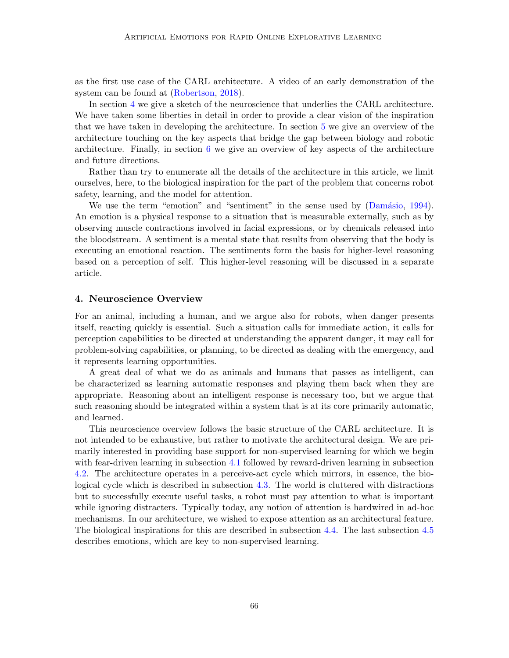as the first use case of the CARL architecture. A video of an early demonstration of the system can be found at [\(Robertson,](#page-19-2) [2018\)](#page-19-2).

In section [4](#page-3-0) we give a sketch of the neuroscience that underlies the CARL architecture. We have taken some liberties in detail in order to provide a clear vision of the inspiration that we have taken in developing the architecture. In section [5](#page-9-0) we give an overview of the architecture touching on the key aspects that bridge the gap between biology and robotic architecture. Finally, in section [6](#page-16-0) we give an overview of key aspects of the architecture and future directions.

Rather than try to enumerate all the details of the architecture in this article, we limit ourselves, here, to the biological inspiration for the part of the problem that concerns robot safety, learning, and the model for attention.

We use the term "emotion" and "sentiment" in the sense used by (Damásio, [1994\)](#page-17-0). An emotion is a physical response to a situation that is measurable externally, such as by observing muscle contractions involved in facial expressions, or by chemicals released into the bloodstream. A sentiment is a mental state that results from observing that the body is executing an emotional reaction. The sentiments form the basis for higher-level reasoning based on a perception of self. This higher-level reasoning will be discussed in a separate article.

### <span id="page-3-0"></span>4. Neuroscience Overview

For an animal, including a human, and we argue also for robots, when danger presents itself, reacting quickly is essential. Such a situation calls for immediate action, it calls for perception capabilities to be directed at understanding the apparent danger, it may call for problem-solving capabilities, or planning, to be directed as dealing with the emergency, and it represents learning opportunities.

A great deal of what we do as animals and humans that passes as intelligent, can be characterized as learning automatic responses and playing them back when they are appropriate. Reasoning about an intelligent response is necessary too, but we argue that such reasoning should be integrated within a system that is at its core primarily automatic, and learned.

This neuroscience overview follows the basic structure of the CARL architecture. It is not intended to be exhaustive, but rather to motivate the architectural design. We are primarily interested in providing base support for non-supervised learning for which we begin with fear-driven learning in subsection [4.1](#page-4-0) followed by reward-driven learning in subsection [4.2.](#page-5-0) The architecture operates in a perceive-act cycle which mirrors, in essence, the biological cycle which is described in subsection [4.3.](#page-6-0) The world is cluttered with distractions but to successfully execute useful tasks, a robot must pay attention to what is important while ignoring distracters. Typically today, any notion of attention is hardwired in ad-hoc mechanisms. In our architecture, we wished to expose attention as an architectural feature. The biological inspirations for this are described in subsection [4.4.](#page-7-0) The last subsection [4.5](#page-8-0) describes emotions, which are key to non-supervised learning.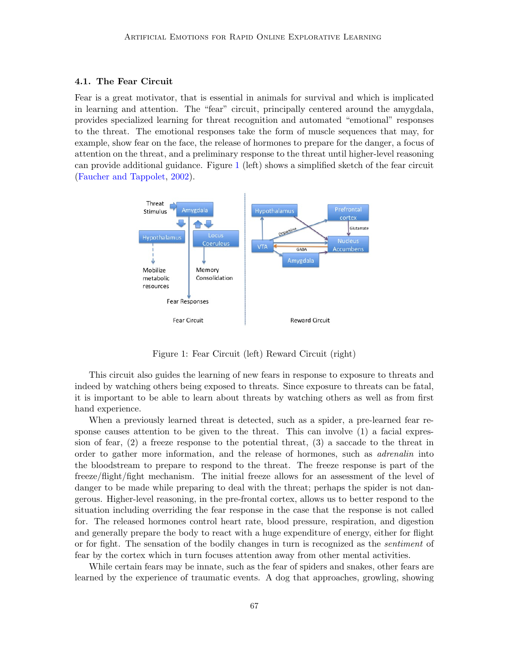### <span id="page-4-0"></span>4.1. The Fear Circuit

Fear is a great motivator, that is essential in animals for survival and which is implicated in learning and attention. The "fear" circuit, principally centered around the amygdala, provides specialized learning for threat recognition and automated "emotional" responses to the threat. The emotional responses take the form of muscle sequences that may, for example, show fear on the face, the release of hormones to prepare for the danger, a focus of attention on the threat, and a preliminary response to the threat until higher-level reasoning can provide additional guidance. Figure [1](#page-4-1) (left) shows a simplified sketch of the fear circuit [\(Faucher and Tappolet,](#page-18-0) [2002\)](#page-18-0).



<span id="page-4-1"></span>Figure 1: Fear Circuit (left) Reward Circuit (right)

This circuit also guides the learning of new fears in response to exposure to threats and indeed by watching others being exposed to threats. Since exposure to threats can be fatal, it is important to be able to learn about threats by watching others as well as from first hand experience.

When a previously learned threat is detected, such as a spider, a pre-learned fear response causes attention to be given to the threat. This can involve (1) a facial expression of fear, (2) a freeze response to the potential threat, (3) a saccade to the threat in order to gather more information, and the release of hormones, such as adrenalin into the bloodstream to prepare to respond to the threat. The freeze response is part of the freeze/flight/fight mechanism. The initial freeze allows for an assessment of the level of danger to be made while preparing to deal with the threat; perhaps the spider is not dangerous. Higher-level reasoning, in the pre-frontal cortex, allows us to better respond to the situation including overriding the fear response in the case that the response is not called for. The released hormones control heart rate, blood pressure, respiration, and digestion and generally prepare the body to react with a huge expenditure of energy, either for flight or for fight. The sensation of the bodily changes in turn is recognized as the sentiment of fear by the cortex which in turn focuses attention away from other mental activities.

While certain fears may be innate, such as the fear of spiders and snakes, other fears are learned by the experience of traumatic events. A dog that approaches, growling, showing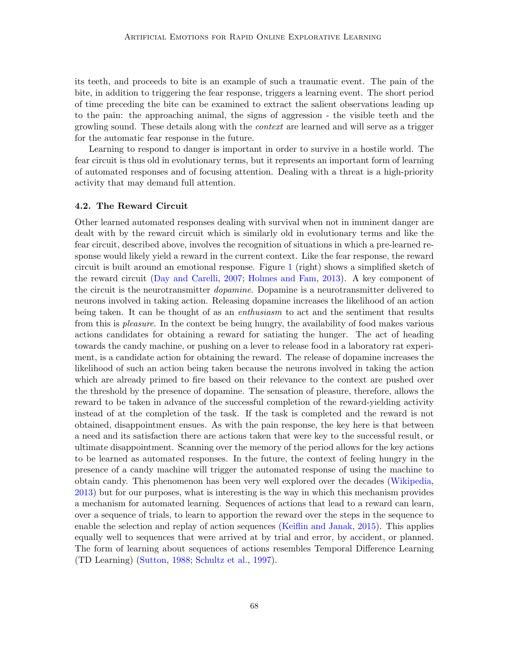its teeth, and proceeds to bite is an example of such a traumatic event. The pain of the bite, in addition to triggering the fear response, triggers a learning event. The short period of time preceding the bite can be examined to extract the salient observations leading up to the pain: the approaching animal, the signs of aggression - the visible teeth and the growling sound. These details along with the *context* are learned and will serve as a trigger for the automatic fear response in the future.

Learning to respond to danger is important in order to survive in a hostile world. The fear circuit is thus old in evolutionary terms, but it represents an important form of learning of automated responses and of focusing attention. Dealing with a threat is a high-priority activity that may demand full attention.

### <span id="page-5-0"></span>4.2. The Reward Circuit

Other learned automated responses dealing with survival when not in imminent danger are dealt with by the reward circuit which is similarly old in evolutionary terms and like the fear circuit, described above, involves the recognition of situations in which a pre-learned response would likely yield a reward in the current context. Like the fear response, the reward circuit is built around an emotional response. Figure [1](#page-4-1) (right) shows a simplified sketch of the reward circuit [\(Day and Carelli,](#page-18-1) [2007;](#page-18-1) [Holmes and Fam,](#page-18-2) [2013\)](#page-18-2). A key component of the circuit is the neurotransmitter dopamine. Dopamine is a neurotransmitter delivered to neurons involved in taking action. Releasing dopamine increases the likelihood of an action being taken. It can be thought of as an *enthusiasm* to act and the sentiment that results from this is *pleasure*. In the context be being hungry, the availability of food makes various actions candidates for obtaining a reward for satiating the hunger. The act of heading towards the candy machine, or pushing on a lever to release food in a laboratory rat experiment, is a candidate action for obtaining the reward. The release of dopamine increases the likelihood of such an action being taken because the neurons involved in taking the action which are already primed to fire based on their relevance to the context are pushed over the threshold by the presence of dopamine. The sensation of pleasure, therefore, allows the reward to be taken in advance of the successful completion of the reward-yielding activity instead of at the completion of the task. If the task is completed and the reward is not obtained, disappointment ensues. As with the pain response, the key here is that between a need and its satisfaction there are actions taken that were key to the successful result, or ultimate disappointment. Scanning over the memory of the period allows for the key actions to be learned as automated responses. In the future, the context of feeling hungry in the presence of a candy machine will trigger the automated response of using the machine to obtain candy. This phenomenon has been very well explored over the decades [\(Wikipedia,](#page-20-2) [2013\)](#page-20-2) but for our purposes, what is interesting is the way in which this mechanism provides a mechanism for automated learning. Sequences of actions that lead to a reward can learn, over a sequence of trials, to learn to apportion the reward over the steps in the sequence to enable the selection and replay of action sequences [\(Keiflin and Janak,](#page-18-3) [2015\)](#page-18-3). This applies equally well to sequences that were arrived at by trial and error, by accident, or planned. The form of learning about sequences of actions resembles Temporal Difference Learning (TD Learning) [\(Sutton,](#page-19-3) [1988;](#page-19-3) [Schultz et al.,](#page-19-4) [1997\)](#page-19-4).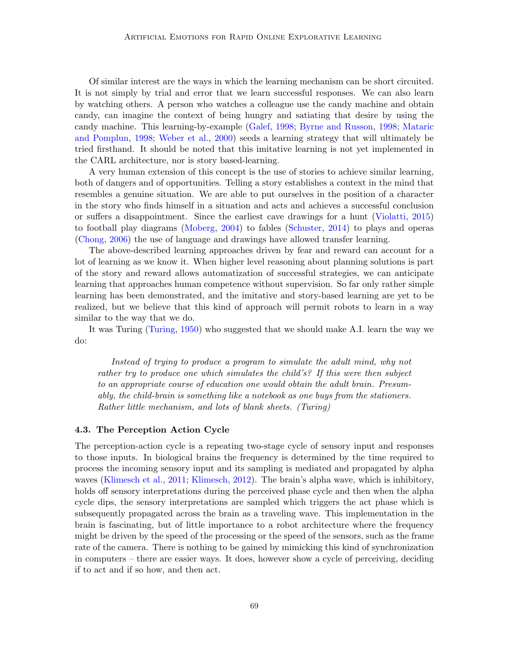Of similar interest are the ways in which the learning mechanism can be short circuited. It is not simply by trial and error that we learn successful responses. We can also learn by watching others. A person who watches a colleague use the candy machine and obtain candy, can imagine the context of being hungry and satiating that desire by using the candy machine. This learning-by-example [\(Galef,](#page-18-4) [1998;](#page-18-4) [Byrne and Russon,](#page-17-1) [1998;](#page-17-1) [Mataric](#page-19-5) [and Pomplun,](#page-19-5) [1998;](#page-19-5) [Weber et al.,](#page-20-3) [2000\)](#page-20-3) seeds a learning strategy that will ultimately be tried firsthand. It should be noted that this imitative learning is not yet implemented in the CARL architecture, nor is story based-learning.

A very human extension of this concept is the use of stories to achieve similar learning, both of dangers and of opportunities. Telling a story establishes a context in the mind that resembles a genuine situation. We are able to put ourselves in the position of a character in the story who finds himself in a situation and acts and achieves a successful conclusion or suffers a disappointment. Since the earliest cave drawings for a hunt [\(Violatti,](#page-20-4) [2015\)](#page-20-4) to football play diagrams [\(Moberg,](#page-19-6) [2004\)](#page-19-6) to fables [\(Schuster,](#page-19-7) [2014\)](#page-19-7) to plays and operas [\(Chong,](#page-17-2) [2006\)](#page-17-2) the use of language and drawings have allowed transfer learning.

The above-described learning approaches driven by fear and reward can account for a lot of learning as we know it. When higher level reasoning about planning solutions is part of the story and reward allows automatization of successful strategies, we can anticipate learning that approaches human competence without supervision. So far only rather simple learning has been demonstrated, and the imitative and story-based learning are yet to be realized, but we believe that this kind of approach will permit robots to learn in a way similar to the way that we do.

It was Turing [\(Turing,](#page-20-5) [1950\)](#page-20-5) who suggested that we should make A.I. learn the way we do:

Instead of trying to produce a program to simulate the adult mind, why not rather try to produce one which simulates the child's? If this were then subject to an appropriate course of education one would obtain the adult brain. Presumably, the child-brain is something like a notebook as one buys from the stationers. Rather little mechanism, and lots of blank sheets. (Turing)

# <span id="page-6-0"></span>4.3. The Perception Action Cycle

The perception-action cycle is a repeating two-stage cycle of sensory input and responses to those inputs. In biological brains the frequency is determined by the time required to process the incoming sensory input and its sampling is mediated and propagated by alpha waves [\(Klimesch et al.,](#page-18-5) [2011;](#page-18-5) [Klimesch,](#page-18-6) [2012\)](#page-18-6). The brain's alpha wave, which is inhibitory, holds off sensory interpretations during the perceived phase cycle and then when the alpha cycle dips, the sensory interpretations are sampled which triggers the act phase which is subsequently propagated across the brain as a traveling wave. This implementation in the brain is fascinating, but of little importance to a robot architecture where the frequency might be driven by the speed of the processing or the speed of the sensors, such as the frame rate of the camera. There is nothing to be gained by mimicking this kind of synchronization in computers – there are easier ways. It does, however show a cycle of perceiving, deciding if to act and if so how, and then act.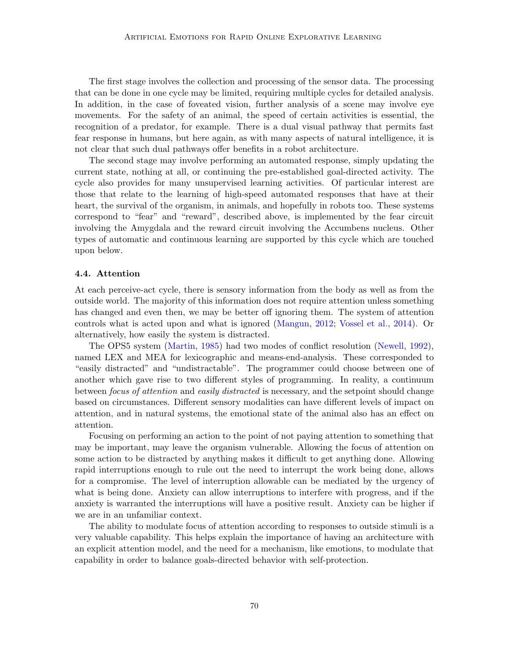The first stage involves the collection and processing of the sensor data. The processing that can be done in one cycle may be limited, requiring multiple cycles for detailed analysis. In addition, in the case of foveated vision, further analysis of a scene may involve eye movements. For the safety of an animal, the speed of certain activities is essential, the recognition of a predator, for example. There is a dual visual pathway that permits fast fear response in humans, but here again, as with many aspects of natural intelligence, it is not clear that such dual pathways offer benefits in a robot architecture.

The second stage may involve performing an automated response, simply updating the current state, nothing at all, or continuing the pre-established goal-directed activity. The cycle also provides for many unsupervised learning activities. Of particular interest are those that relate to the learning of high-speed automated responses that have at their heart, the survival of the organism, in animals, and hopefully in robots too. These systems correspond to "fear" and "reward", described above, is implemented by the fear circuit involving the Amygdala and the reward circuit involving the Accumbens nucleus. Other types of automatic and continuous learning are supported by this cycle which are touched upon below.

#### <span id="page-7-0"></span>4.4. Attention

At each perceive-act cycle, there is sensory information from the body as well as from the outside world. The majority of this information does not require attention unless something has changed and even then, we may be better off ignoring them. The system of attention controls what is acted upon and what is ignored [\(Mangun,](#page-19-8) [2012;](#page-19-8) [Vossel et al.,](#page-20-6) [2014\)](#page-20-6). Or alternatively, how easily the system is distracted.

The OPS5 system [\(Martin,](#page-19-9) [1985\)](#page-19-9) had two modes of conflict resolution [\(Newell,](#page-19-10) [1992\)](#page-19-10), named LEX and MEA for lexicographic and means-end-analysis. These corresponded to "easily distracted" and "undistractable". The programmer could choose between one of another which gave rise to two different styles of programming. In reality, a continuum between *focus of attention* and *easily distracted* is necessary, and the setpoint should change based on circumstances. Different sensory modalities can have different levels of impact on attention, and in natural systems, the emotional state of the animal also has an effect on attention.

Focusing on performing an action to the point of not paying attention to something that may be important, may leave the organism vulnerable. Allowing the focus of attention on some action to be distracted by anything makes it difficult to get anything done. Allowing rapid interruptions enough to rule out the need to interrupt the work being done, allows for a compromise. The level of interruption allowable can be mediated by the urgency of what is being done. Anxiety can allow interruptions to interfere with progress, and if the anxiety is warranted the interruptions will have a positive result. Anxiety can be higher if we are in an unfamiliar context.

The ability to modulate focus of attention according to responses to outside stimuli is a very valuable capability. This helps explain the importance of having an architecture with an explicit attention model, and the need for a mechanism, like emotions, to modulate that capability in order to balance goals-directed behavior with self-protection.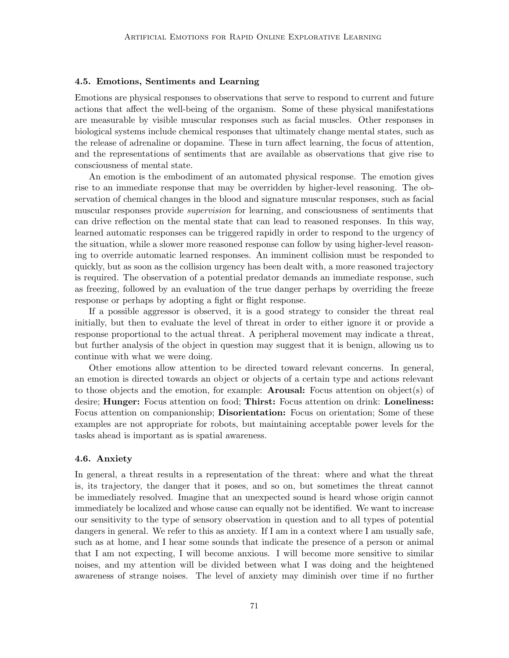# <span id="page-8-0"></span>4.5. Emotions, Sentiments and Learning

Emotions are physical responses to observations that serve to respond to current and future actions that affect the well-being of the organism. Some of these physical manifestations are measurable by visible muscular responses such as facial muscles. Other responses in biological systems include chemical responses that ultimately change mental states, such as the release of adrenaline or dopamine. These in turn affect learning, the focus of attention, and the representations of sentiments that are available as observations that give rise to consciousness of mental state.

An emotion is the embodiment of an automated physical response. The emotion gives rise to an immediate response that may be overridden by higher-level reasoning. The observation of chemical changes in the blood and signature muscular responses, such as facial muscular responses provide supervision for learning, and consciousness of sentiments that can drive reflection on the mental state that can lead to reasoned responses. In this way, learned automatic responses can be triggered rapidly in order to respond to the urgency of the situation, while a slower more reasoned response can follow by using higher-level reasoning to override automatic learned responses. An imminent collision must be responded to quickly, but as soon as the collision urgency has been dealt with, a more reasoned trajectory is required. The observation of a potential predator demands an immediate response, such as freezing, followed by an evaluation of the true danger perhaps by overriding the freeze response or perhaps by adopting a fight or flight response.

If a possible aggressor is observed, it is a good strategy to consider the threat real initially, but then to evaluate the level of threat in order to either ignore it or provide a response proportional to the actual threat. A peripheral movement may indicate a threat, but further analysis of the object in question may suggest that it is benign, allowing us to continue with what we were doing.

Other emotions allow attention to be directed toward relevant concerns. In general, an emotion is directed towards an object or objects of a certain type and actions relevant to those objects and the emotion, for example: **Arousal:** Focus attention on object(s) of desire; Hunger: Focus attention on food; Thirst: Focus attention on drink: Loneliness: Focus attention on companionship; **Disorientation:** Focus on orientation; Some of these examples are not appropriate for robots, but maintaining acceptable power levels for the tasks ahead is important as is spatial awareness.

#### 4.6. Anxiety

In general, a threat results in a representation of the threat: where and what the threat is, its trajectory, the danger that it poses, and so on, but sometimes the threat cannot be immediately resolved. Imagine that an unexpected sound is heard whose origin cannot immediately be localized and whose cause can equally not be identified. We want to increase our sensitivity to the type of sensory observation in question and to all types of potential dangers in general. We refer to this as anxiety. If I am in a context where I am usually safe, such as at home, and I hear some sounds that indicate the presence of a person or animal that I am not expecting, I will become anxious. I will become more sensitive to similar noises, and my attention will be divided between what I was doing and the heightened awareness of strange noises. The level of anxiety may diminish over time if no further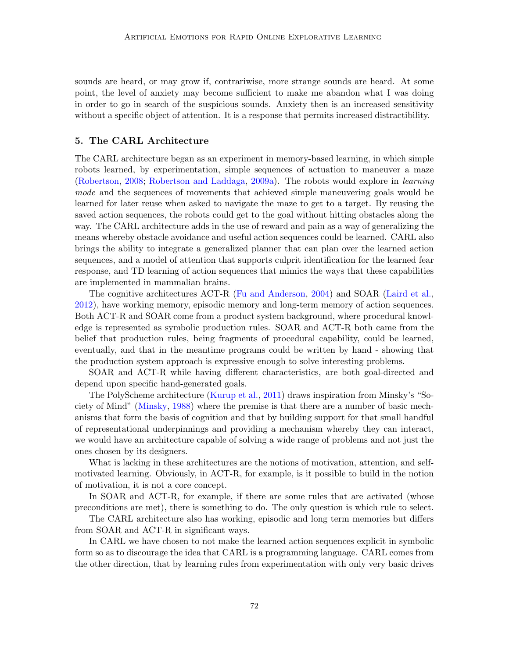sounds are heard, or may grow if, contrariwise, more strange sounds are heard. At some point, the level of anxiety may become sufficient to make me abandon what I was doing in order to go in search of the suspicious sounds. Anxiety then is an increased sensitivity without a specific object of attention. It is a response that permits increased distractibility.

# <span id="page-9-0"></span>5. The CARL Architecture

The CARL architecture began as an experiment in memory-based learning, in which simple robots learned, by experimentation, simple sequences of actuation to maneuver a maze [\(Robertson,](#page-19-11) [2008;](#page-19-11) [Robertson and Laddaga,](#page-19-12) [2009a\)](#page-19-12). The robots would explore in learning mode and the sequences of movements that achieved simple maneuvering goals would be learned for later reuse when asked to navigate the maze to get to a target. By reusing the saved action sequences, the robots could get to the goal without hitting obstacles along the way. The CARL architecture adds in the use of reward and pain as a way of generalizing the means whereby obstacle avoidance and useful action sequences could be learned. CARL also brings the ability to integrate a generalized planner that can plan over the learned action sequences, and a model of attention that supports culprit identification for the learned fear response, and TD learning of action sequences that mimics the ways that these capabilities are implemented in mammalian brains.

The cognitive architectures ACT-R [\(Fu and Anderson,](#page-18-7) [2004\)](#page-18-7) and SOAR [\(Laird et al.,](#page-18-8) [2012\)](#page-18-8), have working memory, episodic memory and long-term memory of action sequences. Both ACT-R and SOAR come from a product system background, where procedural knowledge is represented as symbolic production rules. SOAR and ACT-R both came from the belief that production rules, being fragments of procedural capability, could be learned, eventually, and that in the meantime programs could be written by hand - showing that the production system approach is expressive enough to solve interesting problems.

SOAR and ACT-R while having different characteristics, are both goal-directed and depend upon specific hand-generated goals.

The PolyScheme architecture [\(Kurup et al.,](#page-18-9) [2011\)](#page-18-9) draws inspiration from Minsky's "Society of Mind" [\(Minsky,](#page-19-13) [1988\)](#page-19-13) where the premise is that there are a number of basic mechanisms that form the basis of cognition and that by building support for that small handful of representational underpinnings and providing a mechanism whereby they can interact, we would have an architecture capable of solving a wide range of problems and not just the ones chosen by its designers.

What is lacking in these architectures are the notions of motivation, attention, and selfmotivated learning. Obviously, in ACT-R, for example, is it possible to build in the notion of motivation, it is not a core concept.

In SOAR and ACT-R, for example, if there are some rules that are activated (whose preconditions are met), there is something to do. The only question is which rule to select.

The CARL architecture also has working, episodic and long term memories but differs from SOAR and ACT-R in significant ways.

In CARL we have chosen to not make the learned action sequences explicit in symbolic form so as to discourage the idea that CARL is a programming language. CARL comes from the other direction, that by learning rules from experimentation with only very basic drives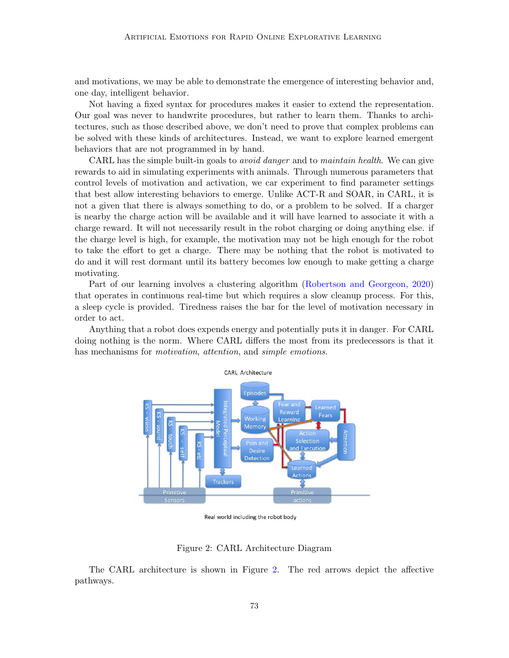and motivations, we may be able to demonstrate the emergence of interesting behavior and, one day, intelligent behavior.

Not having a fixed syntax for procedures makes it easier to extend the representation. Our goal was never to handwrite procedures, but rather to learn them. Thanks to architectures, such as those described above, we don't need to prove that complex problems can be solved with these kinds of architectures. Instead, we want to explore learned emergent behaviors that are not programmed in by hand.

CARL has the simple built-in goals to avoid danger and to maintain health. We can give rewards to aid in simulating experiments with animals. Through numerous parameters that control levels of motivation and activation, we car experiment to find parameter settings that best allow interesting behaviors to emerge. Unlike ACT-R and SOAR, in CARL, it is not a given that there is always something to do, or a problem to be solved. If a charger is nearby the charge action will be available and it will have learned to associate it with a charge reward. It will not necessarily result in the robot charging or doing anything else. if the charge level is high, for example, the motivation may not be high enough for the robot to take the effort to get a charge. There may be nothing that the robot is motivated to do and it will rest dormant until its battery becomes low enough to make getting a charge motivating.

Part of our learning involves a clustering algorithm [\(Robertson and Georgeon,](#page-19-14) [2020\)](#page-19-14) that operates in continuous real-time but which requires a slow cleanup process. For this, a sleep cycle is provided. Tiredness raises the bar for the level of motivation necessary in order to act.

Anything that a robot does expends energy and potentially puts it in danger. For CARL doing nothing is the norm. Where CARL differs the most from its predecessors is that it has mechanisms for *motivation*, *attention*, and *simple emotions*.



<span id="page-10-0"></span>Real world including the robot body

Figure 2: CARL Architecture Diagram

The CARL architecture is shown in Figure [2.](#page-10-0) The red arrows depict the affective pathways.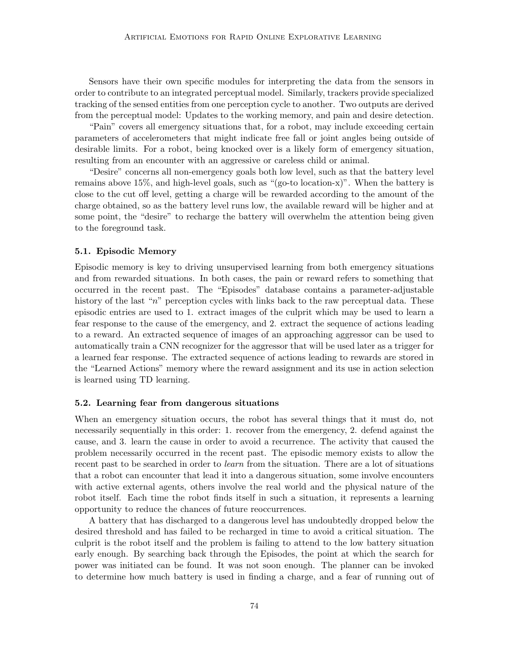Sensors have their own specific modules for interpreting the data from the sensors in order to contribute to an integrated perceptual model. Similarly, trackers provide specialized tracking of the sensed entities from one perception cycle to another. Two outputs are derived from the perceptual model: Updates to the working memory, and pain and desire detection.

"Pain" covers all emergency situations that, for a robot, may include exceeding certain parameters of accelerometers that might indicate free fall or joint angles being outside of desirable limits. For a robot, being knocked over is a likely form of emergency situation, resulting from an encounter with an aggressive or careless child or animal.

"Desire" concerns all non-emergency goals both low level, such as that the battery level remains above 15%, and high-level goals, such as "(go-to location-x)". When the battery is close to the cut off level, getting a charge will be rewarded according to the amount of the charge obtained, so as the battery level runs low, the available reward will be higher and at some point, the "desire" to recharge the battery will overwhelm the attention being given to the foreground task.

### 5.1. Episodic Memory

Episodic memory is key to driving unsupervised learning from both emergency situations and from rewarded situations. In both cases, the pain or reward refers to something that occurred in the recent past. The "Episodes" database contains a parameter-adjustable history of the last " $n$ " perception cycles with links back to the raw perceptual data. These episodic entries are used to 1. extract images of the culprit which may be used to learn a fear response to the cause of the emergency, and 2. extract the sequence of actions leading to a reward. An extracted sequence of images of an approaching aggressor can be used to automatically train a CNN recognizer for the aggressor that will be used later as a trigger for a learned fear response. The extracted sequence of actions leading to rewards are stored in the "Learned Actions" memory where the reward assignment and its use in action selection is learned using TD learning.

#### 5.2. Learning fear from dangerous situations

When an emergency situation occurs, the robot has several things that it must do, not necessarily sequentially in this order: 1. recover from the emergency, 2. defend against the cause, and 3. learn the cause in order to avoid a recurrence. The activity that caused the problem necessarily occurred in the recent past. The episodic memory exists to allow the recent past to be searched in order to *learn* from the situation. There are a lot of situations that a robot can encounter that lead it into a dangerous situation, some involve encounters with active external agents, others involve the real world and the physical nature of the robot itself. Each time the robot finds itself in such a situation, it represents a learning opportunity to reduce the chances of future reoccurrences.

A battery that has discharged to a dangerous level has undoubtedly dropped below the desired threshold and has failed to be recharged in time to avoid a critical situation. The culprit is the robot itself and the problem is failing to attend to the low battery situation early enough. By searching back through the Episodes, the point at which the search for power was initiated can be found. It was not soon enough. The planner can be invoked to determine how much battery is used in finding a charge, and a fear of running out of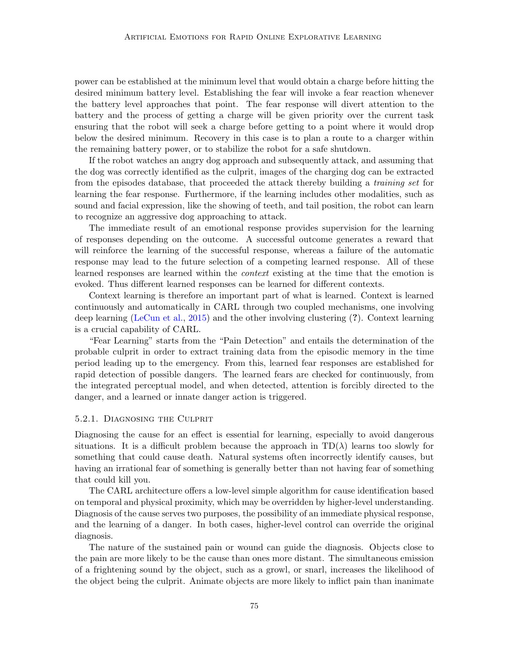power can be established at the minimum level that would obtain a charge before hitting the desired minimum battery level. Establishing the fear will invoke a fear reaction whenever the battery level approaches that point. The fear response will divert attention to the battery and the process of getting a charge will be given priority over the current task ensuring that the robot will seek a charge before getting to a point where it would drop below the desired minimum. Recovery in this case is to plan a route to a charger within the remaining battery power, or to stabilize the robot for a safe shutdown.

If the robot watches an angry dog approach and subsequently attack, and assuming that the dog was correctly identified as the culprit, images of the charging dog can be extracted from the episodes database, that proceeded the attack thereby building a training set for learning the fear response. Furthermore, if the learning includes other modalities, such as sound and facial expression, like the showing of teeth, and tail position, the robot can learn to recognize an aggressive dog approaching to attack.

The immediate result of an emotional response provides supervision for the learning of responses depending on the outcome. A successful outcome generates a reward that will reinforce the learning of the successful response, whereas a failure of the automatic response may lead to the future selection of a competing learned response. All of these learned responses are learned within the *context* existing at the time that the emotion is evoked. Thus different learned responses can be learned for different contexts.

Context learning is therefore an important part of what is learned. Context is learned continuously and automatically in CARL through two coupled mechanisms, one involving deep learning [\(LeCun et al.,](#page-19-0) [2015\)](#page-19-0) and the other involving clustering (?). Context learning is a crucial capability of CARL.

"Fear Learning" starts from the "Pain Detection" and entails the determination of the probable culprit in order to extract training data from the episodic memory in the time period leading up to the emergency. From this, learned fear responses are established for rapid detection of possible dangers. The learned fears are checked for continuously, from the integrated perceptual model, and when detected, attention is forcibly directed to the danger, and a learned or innate danger action is triggered.

#### 5.2.1. Diagnosing the Culprit

Diagnosing the cause for an effect is essential for learning, especially to avoid dangerous situations. It is a difficult problem because the approach in  $TD(\lambda)$  learns too slowly for something that could cause death. Natural systems often incorrectly identify causes, but having an irrational fear of something is generally better than not having fear of something that could kill you.

The CARL architecture offers a low-level simple algorithm for cause identification based on temporal and physical proximity, which may be overridden by higher-level understanding. Diagnosis of the cause serves two purposes, the possibility of an immediate physical response, and the learning of a danger. In both cases, higher-level control can override the original diagnosis.

The nature of the sustained pain or wound can guide the diagnosis. Objects close to the pain are more likely to be the cause than ones more distant. The simultaneous emission of a frightening sound by the object, such as a growl, or snarl, increases the likelihood of the object being the culprit. Animate objects are more likely to inflict pain than inanimate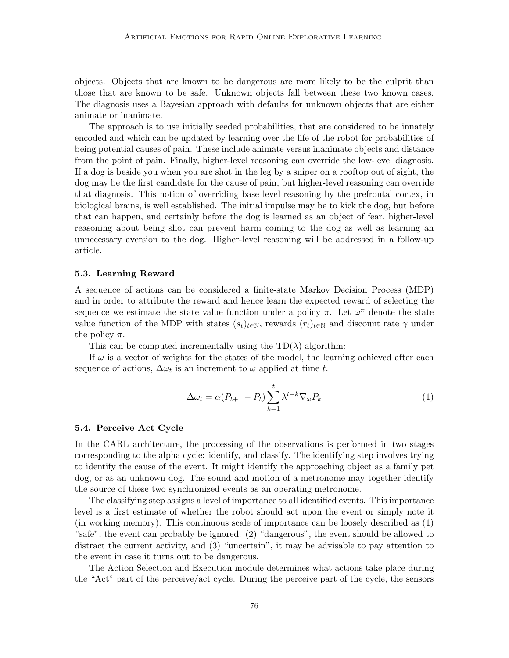objects. Objects that are known to be dangerous are more likely to be the culprit than those that are known to be safe. Unknown objects fall between these two known cases. The diagnosis uses a Bayesian approach with defaults for unknown objects that are either animate or inanimate.

The approach is to use initially seeded probabilities, that are considered to be innately encoded and which can be updated by learning over the life of the robot for probabilities of being potential causes of pain. These include animate versus inanimate objects and distance from the point of pain. Finally, higher-level reasoning can override the low-level diagnosis. If a dog is beside you when you are shot in the leg by a sniper on a rooftop out of sight, the dog may be the first candidate for the cause of pain, but higher-level reasoning can override that diagnosis. This notion of overriding base level reasoning by the prefrontal cortex, in biological brains, is well established. The initial impulse may be to kick the dog, but before that can happen, and certainly before the dog is learned as an object of fear, higher-level reasoning about being shot can prevent harm coming to the dog as well as learning an unnecessary aversion to the dog. Higher-level reasoning will be addressed in a follow-up article.

#### 5.3. Learning Reward

A sequence of actions can be considered a finite-state Markov Decision Process (MDP) and in order to attribute the reward and hence learn the expected reward of selecting the sequence we estimate the state value function under a policy  $\pi$ . Let  $\omega^{\pi}$  denote the state value function of the MDP with states  $(s_t)_{t\in\mathbb{N}}$ , rewards  $(r_t)_{t\in\mathbb{N}}$  and discount rate  $\gamma$  under the policy  $\pi$ .

This can be computed incrementally using the  $TD(\lambda)$  algorithm:

If  $\omega$  is a vector of weights for the states of the model, the learning achieved after each sequence of actions,  $\Delta \omega_t$  is an increment to  $\omega$  applied at time t.

$$
\Delta \omega_t = \alpha (P_{t+1} - P_t) \sum_{k=1}^t \lambda^{t-k} \nabla_\omega P_k \tag{1}
$$

# 5.4. Perceive Act Cycle

In the CARL architecture, the processing of the observations is performed in two stages corresponding to the alpha cycle: identify, and classify. The identifying step involves trying to identify the cause of the event. It might identify the approaching object as a family pet dog, or as an unknown dog. The sound and motion of a metronome may together identify the source of these two synchronized events as an operating metronome.

The classifying step assigns a level of importance to all identified events. This importance level is a first estimate of whether the robot should act upon the event or simply note it (in working memory). This continuous scale of importance can be loosely described as (1) "safe", the event can probably be ignored. (2) "dangerous", the event should be allowed to distract the current activity, and (3) "uncertain", it may be advisable to pay attention to the event in case it turns out to be dangerous.

The Action Selection and Execution module determines what actions take place during the "Act" part of the perceive/act cycle. During the perceive part of the cycle, the sensors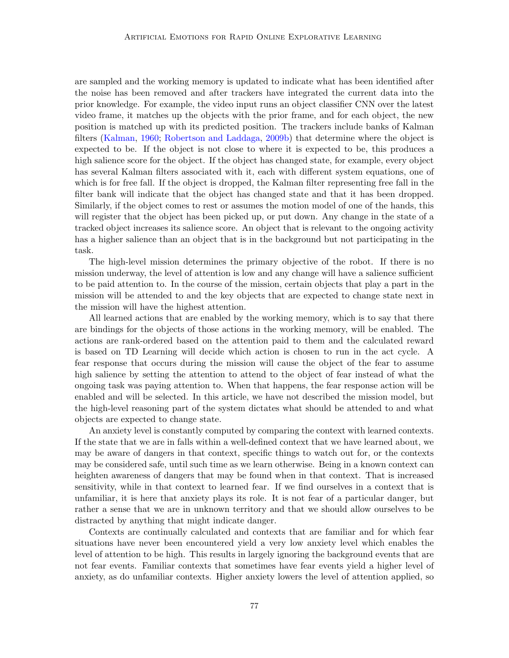are sampled and the working memory is updated to indicate what has been identified after the noise has been removed and after trackers have integrated the current data into the prior knowledge. For example, the video input runs an object classifier CNN over the latest video frame, it matches up the objects with the prior frame, and for each object, the new position is matched up with its predicted position. The trackers include banks of Kalman filters [\(Kalman,](#page-18-10) [1960;](#page-18-10) [Robertson and Laddaga,](#page-19-15) [2009b\)](#page-19-15) that determine where the object is expected to be. If the object is not close to where it is expected to be, this produces a high salience score for the object. If the object has changed state, for example, every object has several Kalman filters associated with it, each with different system equations, one of which is for free fall. If the object is dropped, the Kalman filter representing free fall in the filter bank will indicate that the object has changed state and that it has been dropped. Similarly, if the object comes to rest or assumes the motion model of one of the hands, this will register that the object has been picked up, or put down. Any change in the state of a tracked object increases its salience score. An object that is relevant to the ongoing activity has a higher salience than an object that is in the background but not participating in the task.

The high-level mission determines the primary objective of the robot. If there is no mission underway, the level of attention is low and any change will have a salience sufficient to be paid attention to. In the course of the mission, certain objects that play a part in the mission will be attended to and the key objects that are expected to change state next in the mission will have the highest attention.

All learned actions that are enabled by the working memory, which is to say that there are bindings for the objects of those actions in the working memory, will be enabled. The actions are rank-ordered based on the attention paid to them and the calculated reward is based on TD Learning will decide which action is chosen to run in the act cycle. A fear response that occurs during the mission will cause the object of the fear to assume high salience by setting the attention to attend to the object of fear instead of what the ongoing task was paying attention to. When that happens, the fear response action will be enabled and will be selected. In this article, we have not described the mission model, but the high-level reasoning part of the system dictates what should be attended to and what objects are expected to change state.

An anxiety level is constantly computed by comparing the context with learned contexts. If the state that we are in falls within a well-defined context that we have learned about, we may be aware of dangers in that context, specific things to watch out for, or the contexts may be considered safe, until such time as we learn otherwise. Being in a known context can heighten awareness of dangers that may be found when in that context. That is increased sensitivity, while in that context to learned fear. If we find ourselves in a context that is unfamiliar, it is here that anxiety plays its role. It is not fear of a particular danger, but rather a sense that we are in unknown territory and that we should allow ourselves to be distracted by anything that might indicate danger.

Contexts are continually calculated and contexts that are familiar and for which fear situations have never been encountered yield a very low anxiety level which enables the level of attention to be high. This results in largely ignoring the background events that are not fear events. Familiar contexts that sometimes have fear events yield a higher level of anxiety, as do unfamiliar contexts. Higher anxiety lowers the level of attention applied, so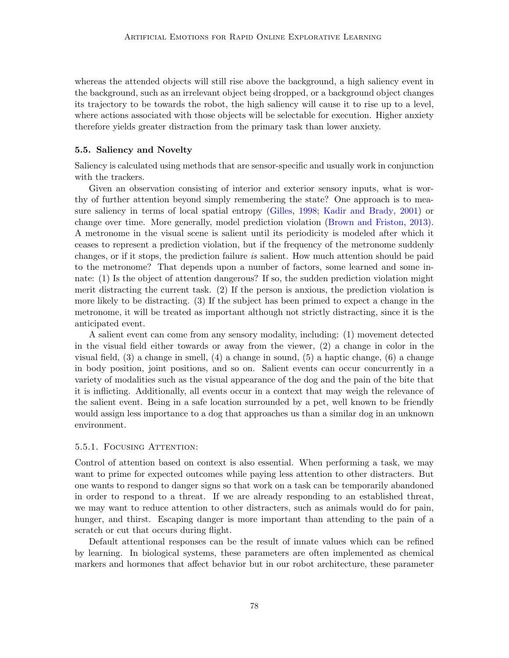whereas the attended objects will still rise above the background, a high saliency event in the background, such as an irrelevant object being dropped, or a background object changes its trajectory to be towards the robot, the high saliency will cause it to rise up to a level, where actions associated with those objects will be selectable for execution. Higher anxiety therefore yields greater distraction from the primary task than lower anxiety.

## 5.5. Saliency and Novelty

Saliency is calculated using methods that are sensor-specific and usually work in conjunction with the trackers.

Given an observation consisting of interior and exterior sensory inputs, what is worthy of further attention beyond simply remembering the state? One approach is to measure saliency in terms of local spatial entropy [\(Gilles,](#page-18-11) [1998;](#page-18-11) [Kadir and Brady,](#page-18-12) [2001\)](#page-18-12) or change over time. More generally, model prediction violation [\(Brown and Friston,](#page-17-3) [2013\)](#page-17-3). A metronome in the visual scene is salient until its periodicity is modeled after which it ceases to represent a prediction violation, but if the frequency of the metronome suddenly changes, or if it stops, the prediction failure is salient. How much attention should be paid to the metronome? That depends upon a number of factors, some learned and some innate: (1) Is the object of attention dangerous? If so, the sudden prediction violation might merit distracting the current task. (2) If the person is anxious, the prediction violation is more likely to be distracting. (3) If the subject has been primed to expect a change in the metronome, it will be treated as important although not strictly distracting, since it is the anticipated event.

A salient event can come from any sensory modality, including: (1) movement detected in the visual field either towards or away from the viewer, (2) a change in color in the visual field, (3) a change in smell, (4) a change in sound, (5) a haptic change, (6) a change in body position, joint positions, and so on. Salient events can occur concurrently in a variety of modalities such as the visual appearance of the dog and the pain of the bite that it is inflicting. Additionally, all events occur in a context that may weigh the relevance of the salient event. Being in a safe location surrounded by a pet, well known to be friendly would assign less importance to a dog that approaches us than a similar dog in an unknown environment.

#### 5.5.1. Focusing Attention:

Control of attention based on context is also essential. When performing a task, we may want to prime for expected outcomes while paying less attention to other distracters. But one wants to respond to danger signs so that work on a task can be temporarily abandoned in order to respond to a threat. If we are already responding to an established threat, we may want to reduce attention to other distracters, such as animals would do for pain, hunger, and thirst. Escaping danger is more important than attending to the pain of a scratch or cut that occurs during flight.

Default attentional responses can be the result of innate values which can be refined by learning. In biological systems, these parameters are often implemented as chemical markers and hormones that affect behavior but in our robot architecture, these parameter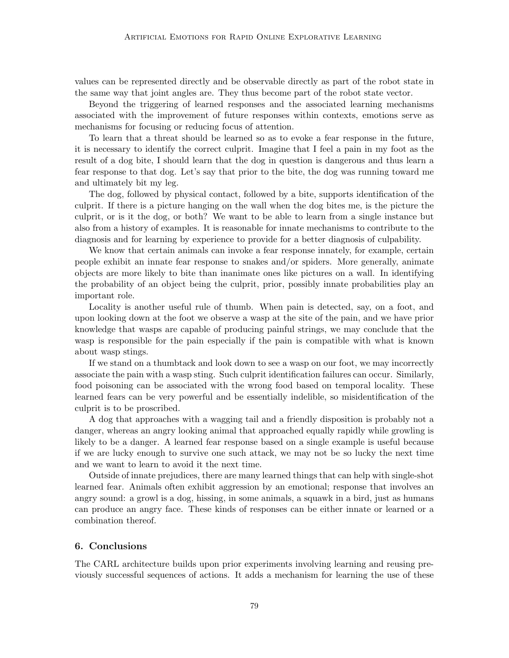values can be represented directly and be observable directly as part of the robot state in the same way that joint angles are. They thus become part of the robot state vector.

Beyond the triggering of learned responses and the associated learning mechanisms associated with the improvement of future responses within contexts, emotions serve as mechanisms for focusing or reducing focus of attention.

To learn that a threat should be learned so as to evoke a fear response in the future, it is necessary to identify the correct culprit. Imagine that I feel a pain in my foot as the result of a dog bite, I should learn that the dog in question is dangerous and thus learn a fear response to that dog. Let's say that prior to the bite, the dog was running toward me and ultimately bit my leg.

The dog, followed by physical contact, followed by a bite, supports identification of the culprit. If there is a picture hanging on the wall when the dog bites me, is the picture the culprit, or is it the dog, or both? We want to be able to learn from a single instance but also from a history of examples. It is reasonable for innate mechanisms to contribute to the diagnosis and for learning by experience to provide for a better diagnosis of culpability.

We know that certain animals can invoke a fear response innately, for example, certain people exhibit an innate fear response to snakes and/or spiders. More generally, animate objects are more likely to bite than inanimate ones like pictures on a wall. In identifying the probability of an object being the culprit, prior, possibly innate probabilities play an important role.

Locality is another useful rule of thumb. When pain is detected, say, on a foot, and upon looking down at the foot we observe a wasp at the site of the pain, and we have prior knowledge that wasps are capable of producing painful strings, we may conclude that the wasp is responsible for the pain especially if the pain is compatible with what is known about wasp stings.

If we stand on a thumbtack and look down to see a wasp on our foot, we may incorrectly associate the pain with a wasp sting. Such culprit identification failures can occur. Similarly, food poisoning can be associated with the wrong food based on temporal locality. These learned fears can be very powerful and be essentially indelible, so misidentification of the culprit is to be proscribed.

A dog that approaches with a wagging tail and a friendly disposition is probably not a danger, whereas an angry looking animal that approached equally rapidly while growling is likely to be a danger. A learned fear response based on a single example is useful because if we are lucky enough to survive one such attack, we may not be so lucky the next time and we want to learn to avoid it the next time.

Outside of innate prejudices, there are many learned things that can help with single-shot learned fear. Animals often exhibit aggression by an emotional; response that involves an angry sound: a growl is a dog, hissing, in some animals, a squawk in a bird, just as humans can produce an angry face. These kinds of responses can be either innate or learned or a combination thereof.

# <span id="page-16-0"></span>6. Conclusions

The CARL architecture builds upon prior experiments involving learning and reusing previously successful sequences of actions. It adds a mechanism for learning the use of these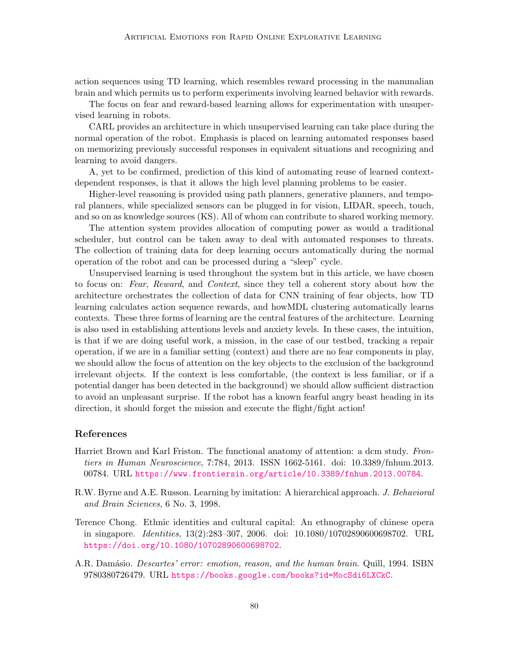action sequences using TD learning, which resembles reward processing in the mammalian brain and which permits us to perform experiments involving learned behavior with rewards.

The focus on fear and reward-based learning allows for experimentation with unsupervised learning in robots.

CARL provides an architecture in which unsupervised learning can take place during the normal operation of the robot. Emphasis is placed on learning automated responses based on memorizing previously successful responses in equivalent situations and recognizing and learning to avoid dangers.

A, yet to be confirmed, prediction of this kind of automating reuse of learned contextdependent responses, is that it allows the high level planning problems to be easier.

Higher-level reasoning is provided using path planners, generative planners, and temporal planners, while specialized sensors can be plugged in for vision, LIDAR, speech, touch, and so on as knowledge sources (KS). All of whom can contribute to shared working memory.

The attention system provides allocation of computing power as would a traditional scheduler, but control can be taken away to deal with automated responses to threats. The collection of training data for deep learning occurs automatically during the normal operation of the robot and can be processed during a "sleep" cycle.

Unsupervised learning is used throughout the system but in this article, we have chosen to focus on: Fear, Reward, and Context, since they tell a coherent story about how the architecture orchestrates the collection of data for CNN training of fear objects, how TD learning calculates action sequence rewards, and howMDL clustering automatically learns contexts. These three forms of learning are the central features of the architecture. Learning is also used in establishing attentions levels and anxiety levels. In these cases, the intuition, is that if we are doing useful work, a mission, in the case of our testbed, tracking a repair operation, if we are in a familiar setting (context) and there are no fear components in play, we should allow the focus of attention on the key objects to the exclusion of the background irrelevant objects. If the context is less comfortable, (the context is less familiar, or if a potential danger has been detected in the background) we should allow sufficient distraction to avoid an unpleasant surprise. If the robot has a known fearful angry beast heading in its direction, it should forget the mission and execute the flight/fight action!

# References

- <span id="page-17-3"></span>Harriet Brown and Karl Friston. The functional anatomy of attention: a dcm study. Frontiers in Human Neuroscience, 7:784, 2013. ISSN 1662-5161. doi: 10.3389/fnhum.2013. 00784. URL <https://www.frontiersin.org/article/10.3389/fnhum.2013.00784>.
- <span id="page-17-1"></span>R.W. Byrne and A.E. Russon. Learning by imitation: A hierarchical approach. J. Behavioral and Brain Sciences, 6 No. 3, 1998.
- <span id="page-17-2"></span>Terence Chong. Ethnic identities and cultural capital: An ethnography of chinese opera in singapore. Identities, 13(2):283–307, 2006. doi: 10.1080/10702890600698702. URL <https://doi.org/10.1080/10702890600698702>.
- <span id="page-17-0"></span>A.R. Damásio. *Descartes' error: emotion, reason, and the human brain.* Quill, 1994. ISBN 9780380726479. URL <https://books.google.com/books?id=MocSdi6LXCkC>.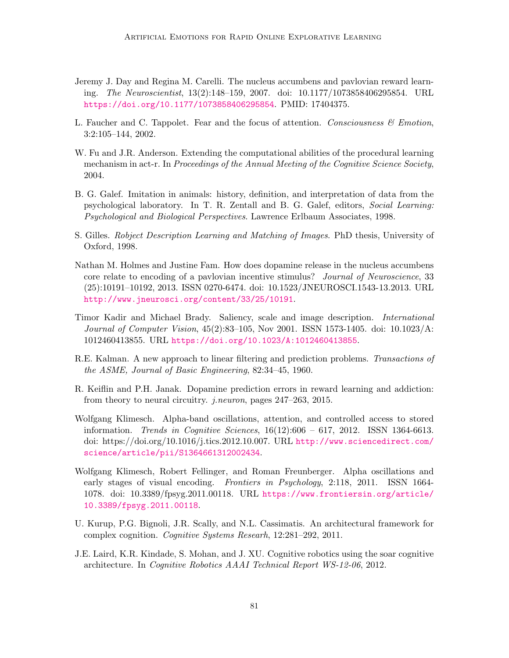- <span id="page-18-1"></span>Jeremy J. Day and Regina M. Carelli. The nucleus accumbens and pavlovian reward learning. The Neuroscientist, 13(2):148–159, 2007. doi: 10.1177/1073858406295854. URL <https://doi.org/10.1177/1073858406295854>. PMID: 17404375.
- <span id="page-18-0"></span>L. Faucher and C. Tappolet. Fear and the focus of attention. Consciousness  $\mathcal{B}$  Emotion, 3:2:105–144, 2002.
- <span id="page-18-7"></span>W. Fu and J.R. Anderson. Extending the computational abilities of the procedural learning mechanism in act-r. In Proceedings of the Annual Meeting of the Cognitive Science Society, 2004.
- <span id="page-18-4"></span>B. G. Galef. Imitation in animals: history, definition, and interpretation of data from the psychological laboratory. In T. R. Zentall and B. G. Galef, editors, Social Learning: Psychological and Biological Perspectives. Lawrence Erlbaum Associates, 1998.
- <span id="page-18-11"></span>S. Gilles. Robject Description Learning and Matching of Images. PhD thesis, University of Oxford, 1998.
- <span id="page-18-2"></span>Nathan M. Holmes and Justine Fam. How does dopamine release in the nucleus accumbens core relate to encoding of a pavlovian incentive stimulus? Journal of Neuroscience, 33 (25):10191–10192, 2013. ISSN 0270-6474. doi: 10.1523/JNEUROSCI.1543-13.2013. URL <http://www.jneurosci.org/content/33/25/10191>.
- <span id="page-18-12"></span>Timor Kadir and Michael Brady. Saliency, scale and image description. International Journal of Computer Vision, 45(2):83–105, Nov 2001. ISSN 1573-1405. doi: 10.1023/A: 1012460413855. URL <https://doi.org/10.1023/A:1012460413855>.
- <span id="page-18-10"></span>R.E. Kalman. A new approach to linear filtering and prediction problems. Transactions of the ASME, Journal of Basic Engineering, 82:34–45, 1960.
- <span id="page-18-3"></span>R. Keiflin and P.H. Janak. Dopamine prediction errors in reward learning and addiction: from theory to neural circuitry. j.neuron, pages 247–263, 2015.
- <span id="page-18-6"></span>Wolfgang Klimesch. Alpha-band oscillations, attention, and controlled access to stored information. Trends in Cognitive Sciences,  $16(12):606 - 617$ , 2012. ISSN 1364-6613. doi: https://doi.org/10.1016/j.tics.2012.10.007. URL [http://www.sciencedirect.com/](http://www.sciencedirect.com/science/article/pii/S1364661312002434) [science/article/pii/S1364661312002434](http://www.sciencedirect.com/science/article/pii/S1364661312002434).
- <span id="page-18-5"></span>Wolfgang Klimesch, Robert Fellinger, and Roman Freunberger. Alpha oscillations and early stages of visual encoding. Frontiers in Psychology, 2:118, 2011. ISSN 1664-1078. doi: 10.3389/fpsyg.2011.00118. URL [https://www.frontiersin.org/article/](https://www.frontiersin.org/article/10.3389/fpsyg.2011.00118) [10.3389/fpsyg.2011.00118](https://www.frontiersin.org/article/10.3389/fpsyg.2011.00118).
- <span id="page-18-9"></span>U. Kurup, P.G. Bignoli, J.R. Scally, and N.L. Cassimatis. An architectural framework for complex cognition. Cognitive Systems Researh, 12:281–292, 2011.
- <span id="page-18-8"></span>J.E. Laird, K.R. Kindade, S. Mohan, and J. XU. Cognitive robotics using the soar cognitive architecture. In Cognitive Robotics AAAI Technical Report WS-12-06, 2012.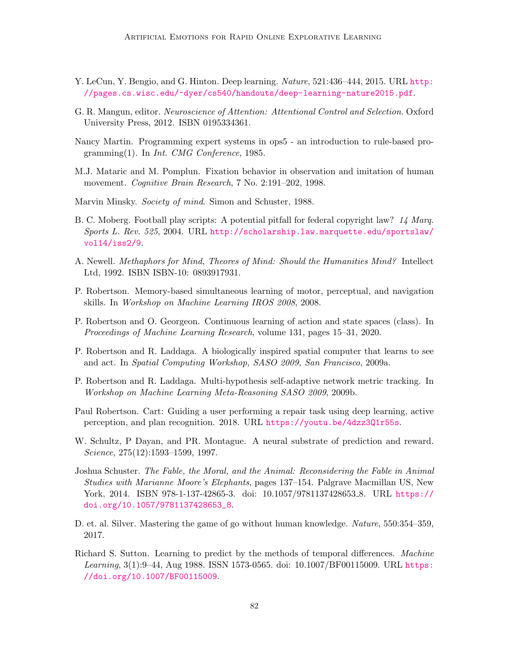- <span id="page-19-0"></span>Y. LeCun, Y. Bengio, and G. Hinton. Deep learning. Nature, 521:436–444, 2015. URL [http:](http://pages.cs.wisc.edu/~dyer/cs540/handouts/deep-learning-nature2015.pdf) [//pages.cs.wisc.edu/~dyer/cs540/handouts/deep-learning-nature2015.pdf](http://pages.cs.wisc.edu/~dyer/cs540/handouts/deep-learning-nature2015.pdf).
- <span id="page-19-8"></span>G. R. Mangun, editor. Neuroscience of Attention: Attentional Control and Selection. Oxford University Press, 2012. ISBN 0195334361.
- <span id="page-19-9"></span>Nancy Martin. Programming expert systems in ops5 - an introduction to rule-based programming(1). In *Int. CMG Conference*, 1985.
- <span id="page-19-5"></span>M.J. Mataric and M. Pomplun. Fixation behavior in observation and imitation of human movement. Cognitive Brain Research, 7 No. 2:191–202, 1998.
- <span id="page-19-13"></span>Marvin Minsky. Society of mind. Simon and Schuster, 1988.
- <span id="page-19-6"></span>B. C. Moberg. Football play scripts: A potential pitfall for federal copyright law? 14 Marq. Sports L. Rev. 525, 2004. URL [http://scholarship.law.marquette.edu/sportslaw/](http://scholarship.law.marquette.edu/sportslaw/vol14/iss2/9) [vol14/iss2/9](http://scholarship.law.marquette.edu/sportslaw/vol14/iss2/9).
- <span id="page-19-10"></span>A. Newell. Methaphors for Mind, Theores of Mind: Should the Humanities Mind? Intellect Ltd, 1992. ISBN ISBN-10: 0893917931.
- <span id="page-19-11"></span>P. Robertson. Memory-based simultaneous learning of motor, perceptual, and navigation skills. In Workshop on Machine Learning IROS 2008, 2008.
- <span id="page-19-14"></span>P. Robertson and O. Georgeon. Continuous learning of action and state spaces (class). In Proceedings of Machine Learning Research, volume 131, pages 15–31, 2020.
- <span id="page-19-12"></span>P. Robertson and R. Laddaga. A biologically inspired spatial computer that learns to see and act. In Spatial Computing Workshop, SASO 2009, San Francisco, 2009a.
- <span id="page-19-15"></span>P. Robertson and R. Laddaga. Multi-hypothesis self-adaptive network metric tracking. In Workshop on Machine Learning Meta-Reasoning SASO 2009, 2009b.
- <span id="page-19-2"></span>Paul Robertson. Cart: Guiding a user performing a repair task using deep learning, active perception, and plan recognition. 2018. URL <https://youtu.be/4dzz3Q1r55s>.
- <span id="page-19-4"></span>W. Schultz, P Dayan, and PR. Montague. A neural substrate of prediction and reward. Science, 275(12):1593–1599, 1997.
- <span id="page-19-7"></span>Joshua Schuster. The Fable, the Moral, and the Animal: Reconsidering the Fable in Animal Studies with Marianne Moore's Elephants, pages 137–154. Palgrave Macmillan US, New York, 2014. ISBN 978-1-137-42865-3. doi: 10.1057/9781137428653 8. URL [https://](https://doi.org/10.1057/9781137428653_8) [doi.org/10.1057/9781137428653\\_8](https://doi.org/10.1057/9781137428653_8).
- <span id="page-19-1"></span>D. et. al. Silver. Mastering the game of go without human knowledge. Nature, 550:354–359, 2017.
- <span id="page-19-3"></span>Richard S. Sutton. Learning to predict by the methods of temporal differences. Machine Learning, 3(1):9–44, Aug 1988. ISSN 1573-0565. doi: 10.1007/BF00115009. URL [https:](https://doi.org/10.1007/BF00115009) [//doi.org/10.1007/BF00115009](https://doi.org/10.1007/BF00115009).